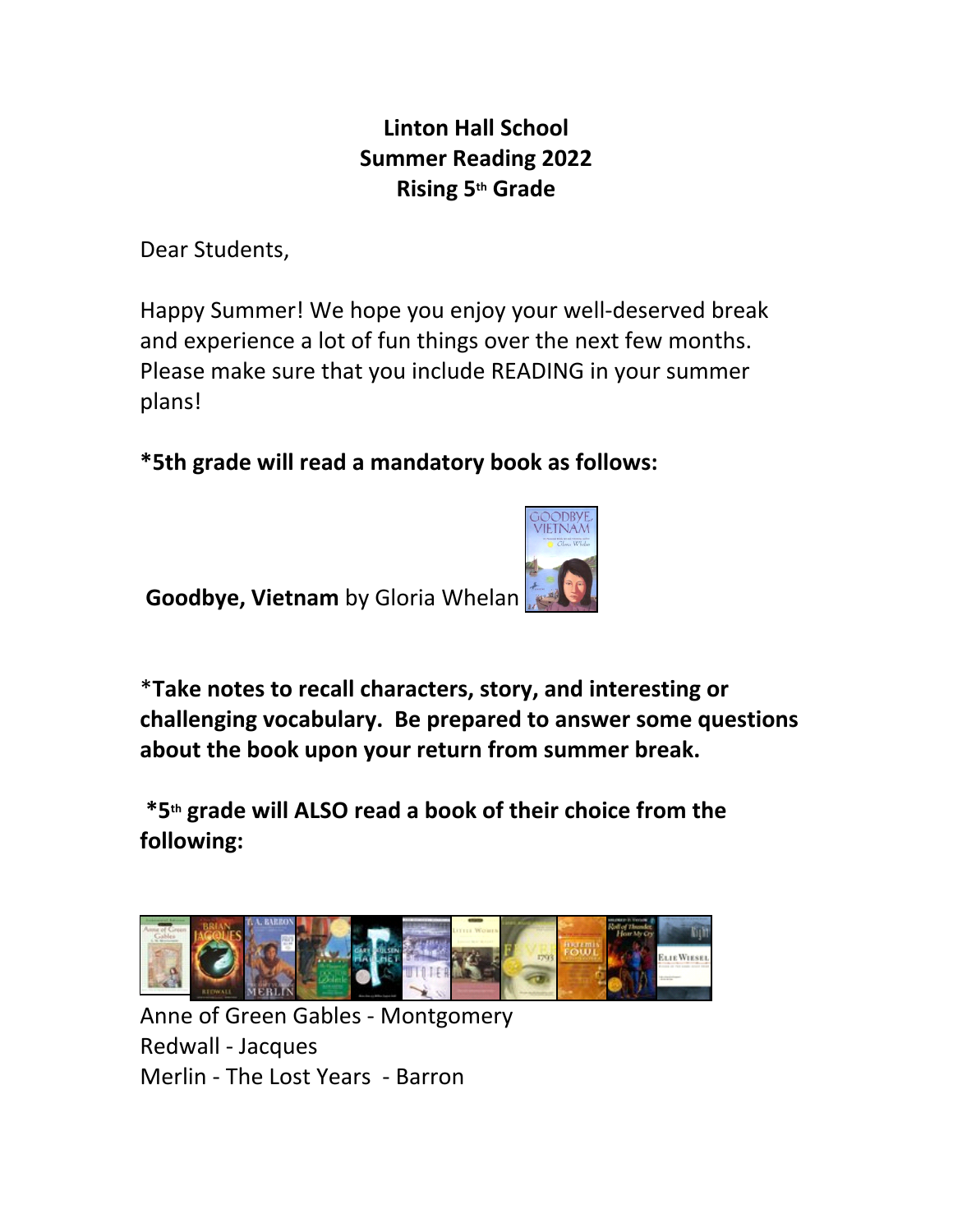## **Linton Hall School Summer Reading 2022 Rising 5th Grade**

Dear Students,

Happy Summer! We hope you enjoy your well-deserved break and experience a lot of fun things over the next few months. Please make sure that you include READING in your summer plans!

**\*5th grade will read a mandatory book as follows:**

 **Goodbye, Vietnam** by Gloria Whelan



\***Take notes to recall characters, story, and interesting or challenging vocabulary. Be prepared to answer some questions about the book upon your return from summer break.**

**\*5th grade will ALSO read a book of their choice from the following:**



Anne of Green Gables - Montgomery Redwall - Jacques Merlin - The Lost Years - Barron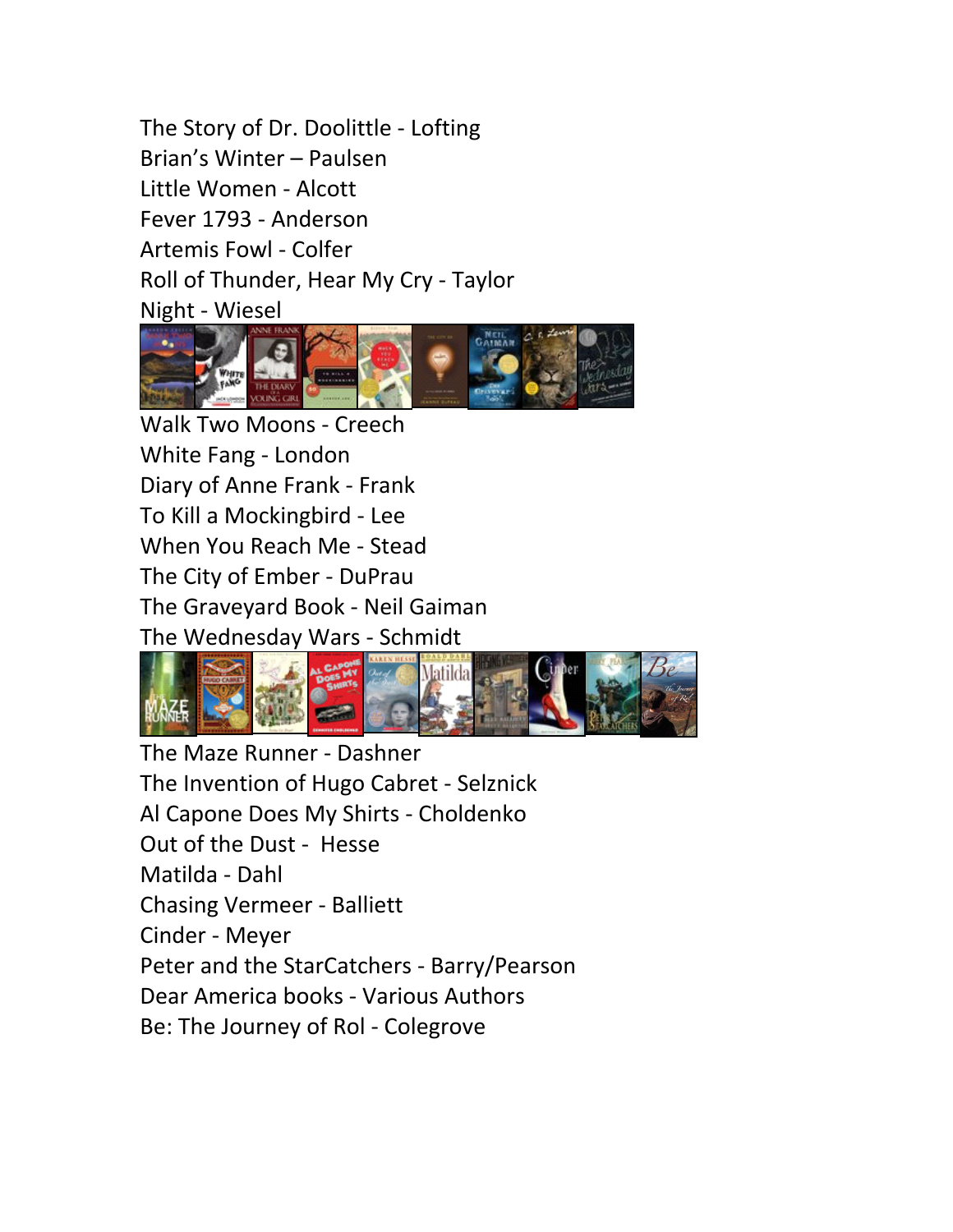The Story of Dr. Doolittle - Lofting Brian's Winter – Paulsen Little Women - Alcott Fever 1793 - Anderson Artemis Fowl - Colfer Roll of Thunder, Hear My Cry - Taylor Night - Wiesel



Walk Two Moons - Creech White Fang - London Diary of Anne Frank - Frank To Kill a Mockingbird - Lee When You Reach Me - Stead The City of Ember - DuPrau The Graveyard Book - Neil Gaiman The Wednesday Wars - Schmidt



The Maze Runner - Dashner The Invention of Hugo Cabret - Selznick Al Capone Does My Shirts - Choldenko Out of the Dust - Hesse Matilda - Dahl Chasing Vermeer - Balliett Cinder - Meyer Peter and the StarCatchers - Barry/Pearson Dear America books - Various Authors Be: The Journey of Rol - Colegrove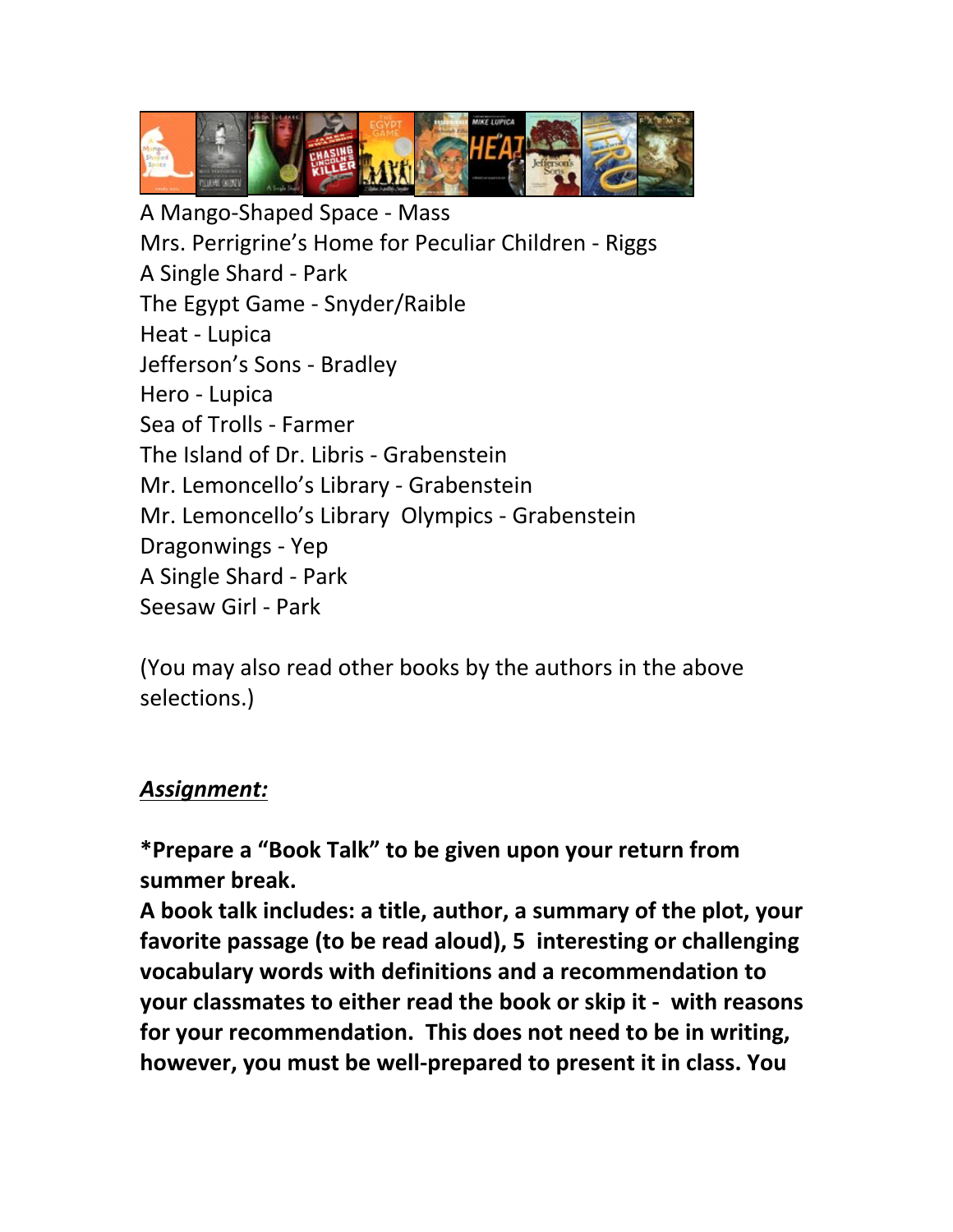

A Mango-Shaped Space - Mass Mrs. Perrigrine's Home for Peculiar Children - Riggs A Single Shard - Park The Egypt Game - Snyder/Raible Heat - Lupica Jefferson's Sons - Bradley Hero - Lupica Sea of Trolls - Farmer The Island of Dr. Libris - Grabenstein Mr. Lemoncello's Library - Grabenstein Mr. Lemoncello's Library Olympics - Grabenstein Dragonwings - Yep A Single Shard - Park Seesaw Girl - Park

(You may also read other books by the authors in the above selections.)

## *Assignment:*

**\*Prepare a "Book Talk" to be given upon your return from summer break.**

**A book talk includes: a title, author, a summary of the plot, your favorite passage (to be read aloud), 5 interesting or challenging vocabulary words with definitions and a recommendation to your classmates to either read the book or skip it - with reasons for your recommendation. This does not need to be in writing, however, you must be well-prepared to present it in class. You**